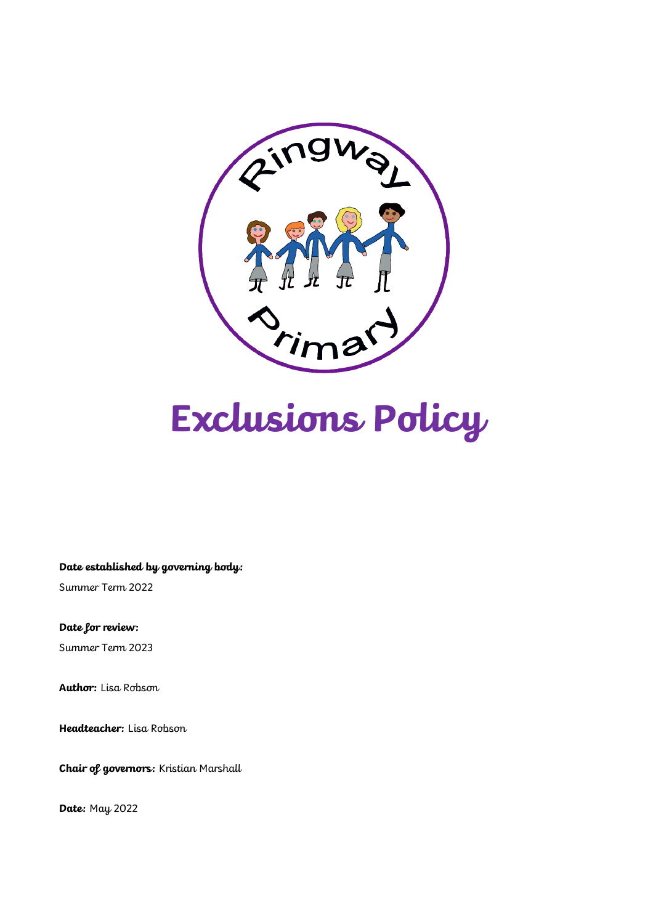

# **Exclusions Policy**

**Date established by governing body:**

Summer Term 2022

**Date for review:**

Summer Term 2023

**Author:** Lisa Robson

**Headteacher:** Lisa Robson

**Chair of governors:** Kristian Marshall

**Date:** May 2022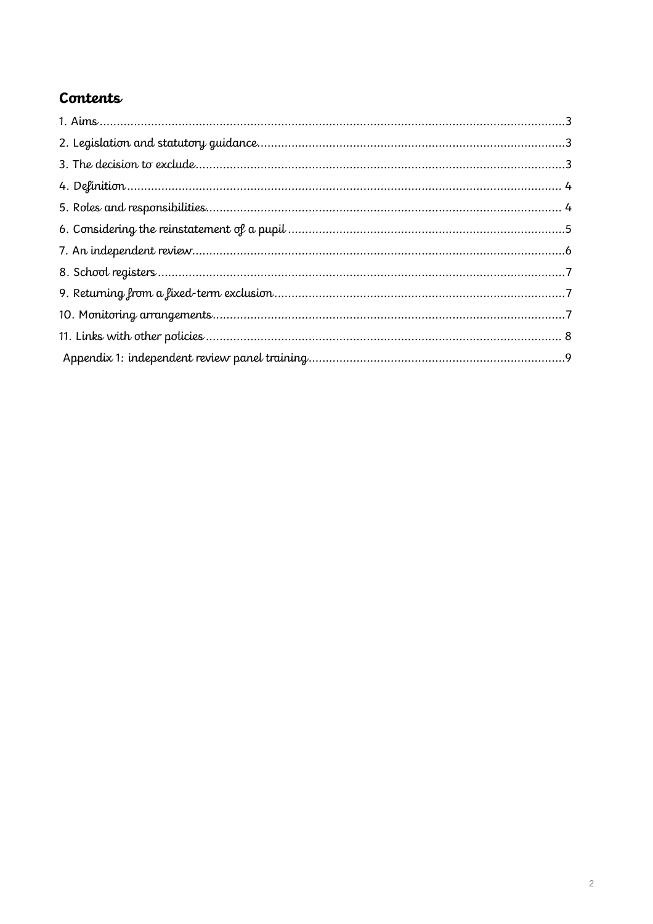## Contents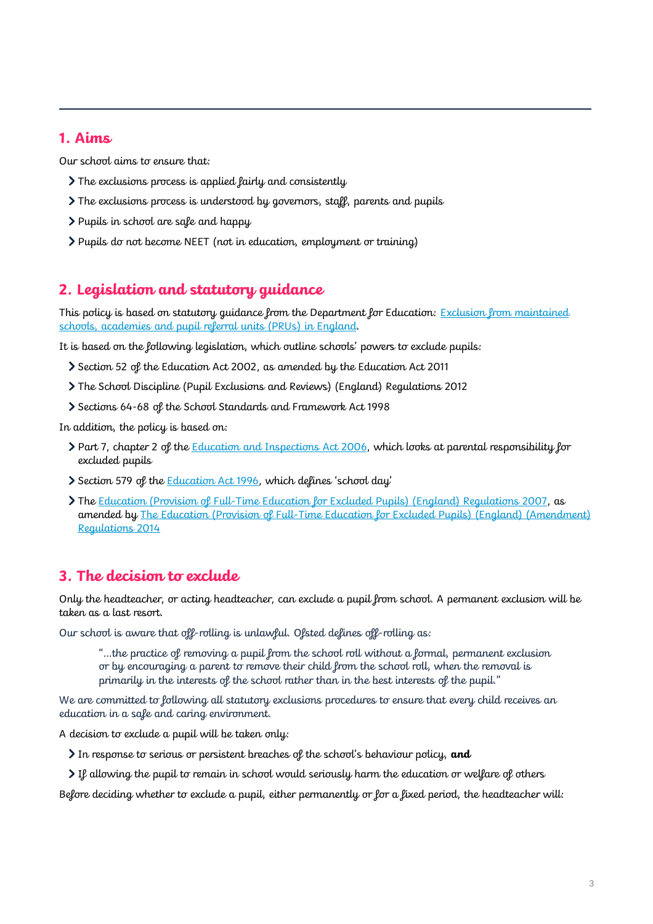## **1. Aims**

Our school aims to ensure that:

- The exclusions process is applied fairly and consistently
- The exclusions process is understood by governors, staff, parents and pupils
- Pupils in school are safe and happy
- Pupils do not become NEET (not in education, employment or training)

## **2. Legislation and statutory guidance**

This policy is based on statutory guidance from the Department for Education: Exclusion from maintained [schools, academies and pupil referral units \(PRUs\) in England.](https://www.gov.uk/government/publications/school-exclusion)

It is based on the following legislation, which outline schools' powers to exclude pupils:

- Section 52 of the [Education Act 2002,](http://www.legislation.gov.uk/ukpga/2002/32/section/52) as amended by the [Education Act 2011](http://www.legislation.gov.uk/ukpga/2011/21/contents/enacted)
- [The School Discipline \(Pupil Exclusions and Reviews\) \(England\) Regulations 2012](http://www.legislation.gov.uk/uksi/2012/1033/made)
- Sections 64-68 of the [School Standards and Framework Act 1998](http://www.legislation.gov.uk/ukpga/1998/31)

In addition, the policy is based on:

- Part 7, chapter 2 of the [Education and Inspections Act 2006,](http://www.legislation.gov.uk/ukpga/2006/40/part/7/chapter/2) which looks at parental responsibility for excluded pupils
- Section 579 of the **Education Act 1996**, which defines 'school day'
- **The [Education \(Provision of Full-Time Education for Excluded Pupils\) \(England\) Regulations 2007,](http://www.legislation.gov.uk/uksi/2007/1870/contents/made) as** amended by [The Education \(Provision of Full-Time Education for Excluded Pupils\) \(England\) \(Amendment\)](http://www.legislation.gov.uk/uksi/2014/3216/contents/made)  [Regulations 2014](http://www.legislation.gov.uk/uksi/2014/3216/contents/made)

## **3. The decision to exclude**

Only the headteacher, or acting headteacher, can exclude a pupil from school. A permanent exclusion will be taken as a last resort.

Our school is aware that off-rolling is unlawful. Of sted defines off-rolling as:

"…the practice of removing a pupil from the school roll without a formal, permanent exclusion or by encouraging a parent to remove their child from the school roll, when the removal is primarily in the interests of the school rather than in the best interests of the pupil."

We are committed to following all statutory exclusions procedures to ensure that every child receives an education in a safe and caring environment.

A decision to exclude a pupil will be taken only:

- In response to serious or persistent breaches of the school's behaviour policy, **and**
- If allowing the pupil to remain in school would seriously harm the education or welfare of others

Before deciding whether to exclude a pupil, either permanently or for a fixed period, the headteacher will: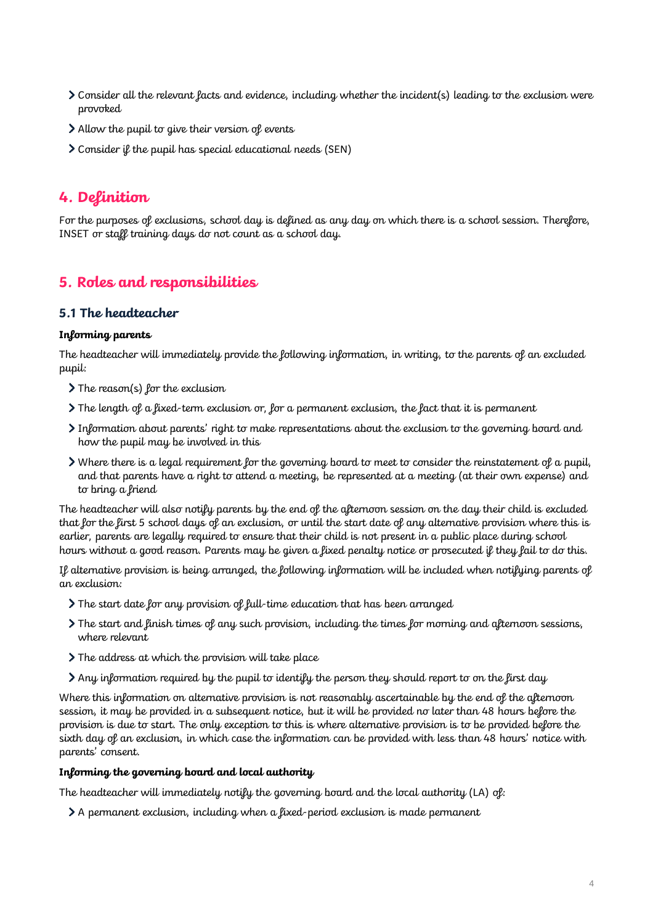- Consider all the relevant facts and evidence, including whether the incident(s) leading to the exclusion were provoked
- Allow the pupil to give their version of events
- Consider if the pupil has special educational needs (SEN)

## **4. Definition**

For the purposes of exclusions, school day is defined as any day on which there is a school session. Therefore, INSET or staff training days do not count as a school day.

## **5. Roles and responsibilities**

#### **5.1 The headteacher**

#### **Informing parents**

The headteacher will immediately provide the following information, in writing, to the parents of an excluded pupil:

- > The reason(s) for the exclusion
- $\triangleright$  The length of a fixed-term exclusion or, for a permanent exclusion, the fact that it is permanent
- $\geq$  Information about parents' right to make representations about the exclusion to the governing board and how the pupil may be involved in this
- Where there is a legal requirement for the governing board to meet to consider the reinstatement of a pupil, and that parents have a right to attend a meeting, be represented at a meeting (at their own expense) and to bring a friend

The headteacher will also notify parents by the end of the afternoon session on the day their child is excluded that for the first 5 school days of an exclusion, or until the start date of any alternative provision where this is earlier, parents are legally required to ensure that their child is not present in a public place during school hours without a good reason. Parents may be given a fixed penalty notice or prosecuted if they fail to do this.

If alternative provision is being arranged, the following information will be included when notifying parents of an exclusion:

- The start date for any provision of full-time education that has been arranged
- The start and finish times of any such provision, including the times for morning and afternoon sessions, where relevant
- The address at which the provision will take place
- $\geq$  Any information required by the pupil to identify the person they should report to on the first day

Where this information on alternative provision is not reasonably ascertainable by the end of the afternoon session, it may be provided in a subsequent notice, but it will be provided no later than 48 hours before the provision is due to start. The only exception to this is where alternative provision is to be provided before the sixth day of an exclusion, in which case the information can be provided with less than 48 hours' notice with parents' consent.

#### **Informing the governing board and local authority**

The headteacher will immediately notify the governing board and the local authority (LA) of:

A permanent exclusion, including when a fixed-period exclusion is made permanent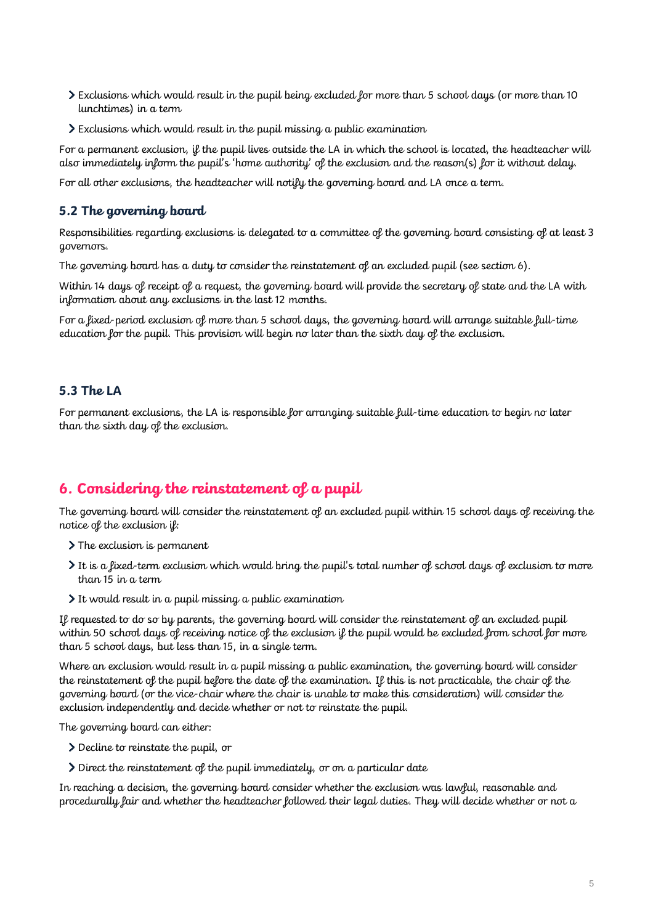- Exclusions which would result in the pupil being excluded for more than 5 school days (or more than 10 lunchtimes) in a term
- Exclusions which would result in the pupil missing a public examination

For a permanent exclusion, if the pupil lives outside the LA in which the school is located, the headteacher will also immediately inform the pupil's 'home authority' of the exclusion and the reason(s) for it without delay.

For all other exclusions, the headteacher will notify the governing board and LA once a term.

#### **5.2 The governing board**

Responsibilities regarding exclusions is delegated to a committee of the governing board consisting of at least 3 governors.

The governing board has a duty to consider the reinstatement of an excluded pupil (see section 6).

Within 14 days of receipt of a request, the governing board will provide the secretary of state and the LA with information about any exclusions in the last 12 months.

For a fixed-period exclusion of more than 5 school days, the governing board will arrange suitable full-time education for the pupil. This provision will begin no later than the sixth day of the exclusion.

#### **5.3 The LA**

For permanent exclusions, the LA is responsible for arranging suitable full-time education to begin no later than the sixth day of the exclusion.

## **6. Considering the reinstatement of a pupil**

The governing board will consider the reinstatement of an excluded pupil within 15 school days of receiving the notice of the exclusion if:

- > The exclusion is permanent
- It is a fixed-term exclusion which would bring the pupil's total number of school days of exclusion to more than 15 in a term
- It would result in a pupil missing a public examination

If requested to do so by parents, the governing board will consider the reinstatement of an excluded pupil within 50 school days of receiving notice of the exclusion if the pupil would be excluded from school for more than 5 school days, but less than 15, in a single term.

Where an exclusion would result in a pupil missing a public examination, the governing board will consider the reinstatement of the pupil before the date of the examination. If this is not practicable, the chair of the governing board (or the vice-chair where the chair is unable to make this consideration) will consider the exclusion independently and decide whether or not to reinstate the pupil.

The governing board can either:

- Decline to reinstate the pupil, or
- $\sum$  Direct the reinstatement of the pupil immediately, or on a particular date

In reaching a decision, the governing board consider whether the exclusion was lawful, reasonable and procedurally fair and whether the headteacher followed their legal duties. They will decide whether or not a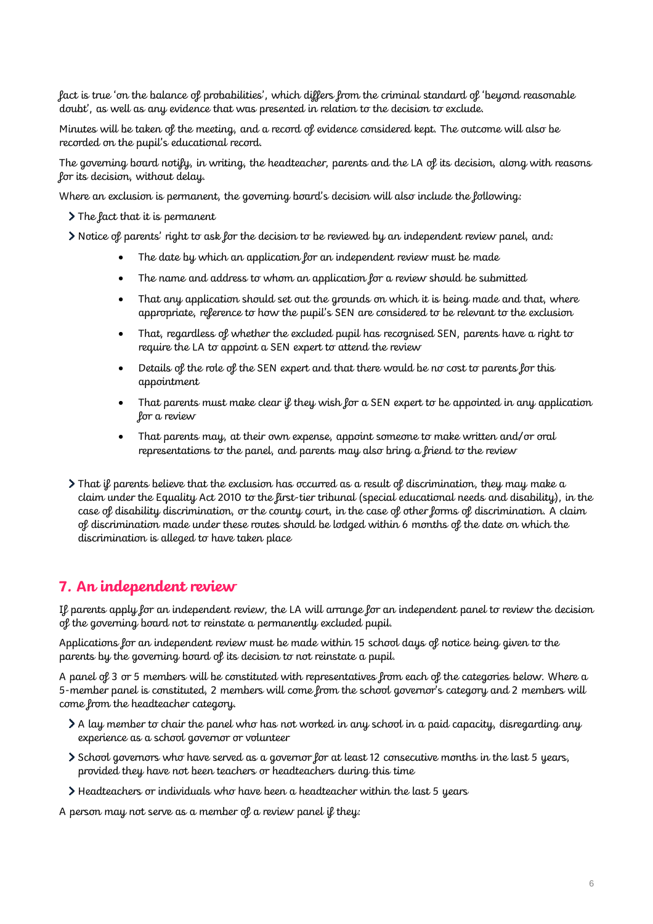fact is true 'on the balance of probabilities', which differs from the criminal standard of 'beyond reasonable doubt', as well as any evidence that was presented in relation to the decision to exclude.

Minutes will be taken of the meeting, and a record of evidence considered kept. The outcome will also be recorded on the pupil's educational record.

The governing board notify, in writing, the headteacher, parents and the LA of its decision, along with reasons for its decision, without delay.

Where an exclusion is permanent, the governing board's decision will also include the following:

 $\sum$  The fact that it is permanent

Notice of parents' right to ask for the decision to be reviewed by an independent review panel, and:

- The date by which an application for an independent review must be made
- The name and address to whom an application for a review should be submitted
- That any application should set out the grounds on which it is being made and that, where appropriate, reference to how the pupil's SEN are considered to be relevant to the exclusion
- That, regardless of whether the excluded pupil has recognised SEN, parents have a right to require the LA to appoint a SEN expert to attend the review
- Details of the role of the SEN expert and that there would be no cost to parents for this appointment
- That parents must make clear if they wish for a SEN expert to be appointed in any application for a review
- That parents may, at their own expense, appoint someone to make written and/or oral representations to the panel, and parents may also bring a friend to the review
- $\blacktriangleright$  That if parents believe that the exclusion has occurred as a result of discrimination, they may make a claim under the Equality Act 2010 to the first-tier tribunal (special educational needs and disability), in the case of disability discrimination, or the county court, in the case of other forms of discrimination. A claim of discrimination made under these routes should be lodged within 6 months of the date on which the discrimination is alleged to have taken place

## **7. An independent review**

If parents apply for an independent review, the LA will arrange for an independent panel to review the decision of the governing board not to reinstate a permanently excluded pupil.

Applications for an independent review must be made within 15 school days of notice being given to the parents by the governing board of its decision to not reinstate a pupil.

A panel of 3 or 5 members will be constituted with representatives from each of the categories below. Where a 5-member panel is constituted, 2 members will come from the school governor's category and 2 members will come from the headteacher category.

- $\lambda$  A lay member to chair the panel who has not worked in any school in a paid capacity, disregarding any experience as a school governor or volunteer
- School governors who have served as a governor for at least 12 consecutive months in the last 5 years, provided they have not been teachers or headteachers during this time
- Headteachers or individuals who have been a headteacher within the last 5 years

A person may not serve as a member of a review panel if they: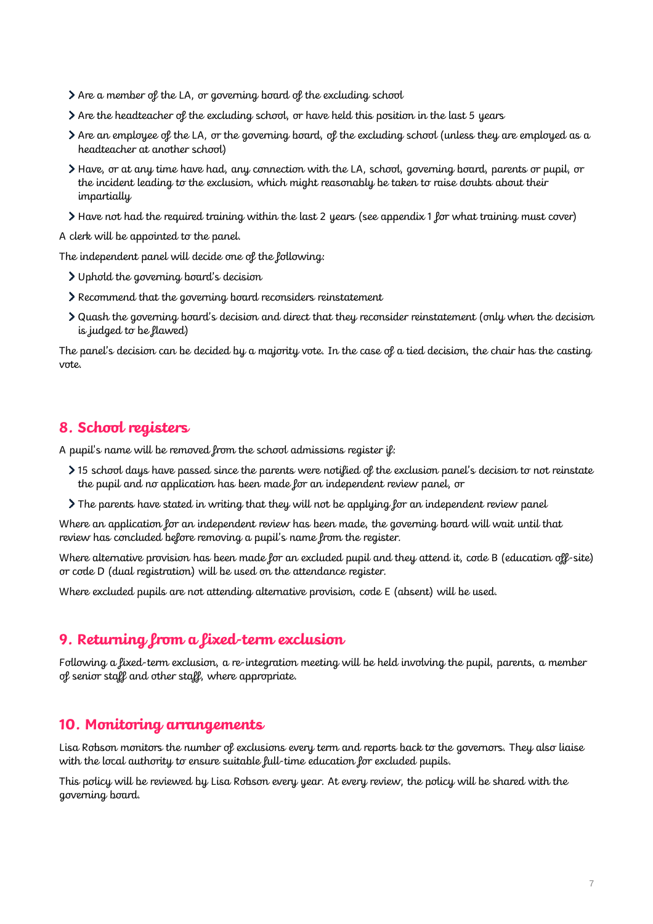- Are a member of the LA, or governing board of the excluding school
- Are the headteacher of the excluding school, or have held this position in the last 5 years
- Are an employee of the LA, or the governing board, of the excluding school (unless they are employed as a headteacher at another school)
- Have, or at any time have had, any connection with the LA, school, governing board, parents or pupil, or the incident leading to the exclusion, which might reasonably be taken to raise doubts about their impartially
- Have not had the required training within the last 2 years (see appendix 1 for what training must cover)

A clerk will be appointed to the panel.

The independent panel will decide one of the following:

- Uphold the governing board's decision
- Recommend that the governing board reconsiders reinstatement
- Quash the governing board's decision and direct that they reconsider reinstatement (only when the decision is judged to be flawed)

The panel's decision can be decided by a majority vote. In the case of a tied decision, the chair has the casting vote.

## **8. School registers**

A pupil's name will be removed from the school admissions register  $\hat{y}$ :

- 15 school days have passed since the parents were notified of the exclusion panel's decision to not reinstate the pupil and no application has been made for an independent review panel, or
- The parents have stated in writing that they will not be applying for an independent review panel

Where an application for an independent review has been made, the governing board will wait until that review has concluded before removing a pupil's name from the register.

Where alternative provision has been made for an excluded pupil and they attend it, code B (education off-site) or code D (dual registration) will be used on the attendance register.

Where excluded pupils are not attending alternative provision, code E (absent) will be used.

### **9. Returning from a fixed-term exclusion**

Following a fixed-term exclusion, a re-integration meeting will be held involving the pupil, parents, a member of senior staff and other staff, where appropriate.

#### **10. Monitoring arrangements**

Lisa Robson monitors the number of exclusions every term and reports back to the governors. They also liaise with the local authority to ensure suitable full-time education for excluded pupils.

This policy will be reviewed by Lisa Robson every year. At every review, the policy will be shared with the governing board.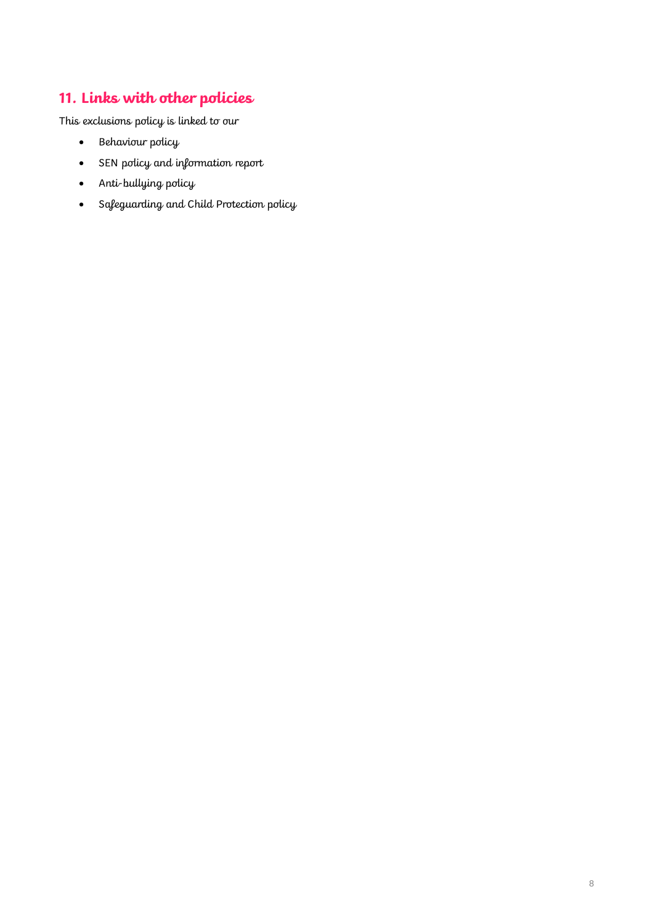# **11. Links with other policies**

This exclusions policy is linked to our

- Behaviour policy
- SEN policy and information report
- Anti-bullying policy
- Safeguarding and Child Protection policy